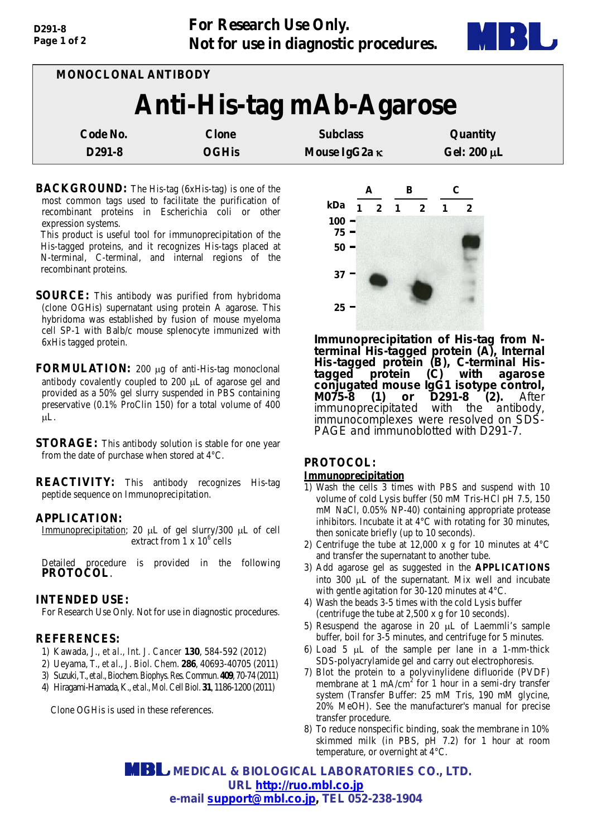

| MONOCLONAL ANTIBODY      |              |                 |                  |  |
|--------------------------|--------------|-----------------|------------------|--|
| Anti-His-tag mAb-Agarose |              |                 |                  |  |
| Code No.                 | <b>Clone</b> | <b>Subclass</b> | Quantity         |  |
| D <sub>291</sub> -8      | <b>OGHis</b> | Mouse IgG2a κ   | Gel: $200 \mu L$ |  |

**BACKGROUND:** The His-tag (6xHis-tag) is one of the most common tags used to facilitate the purification of recombinant proteins in Escherichia coli or other expression systems.

This product is useful tool for immunoprecipitation of the His-tagged proteins, and it recognizes His-tags placed at N-terminal, C-terminal, and internal regions of the recombinant proteins.

- **SOURCE:** This antibody was purified from hybridoma (clone OGHis) supernatant using protein A agarose. This hybridoma was established by fusion of mouse myeloma cell SP-1 with Balb/c mouse splenocyte immunized with 6xHis tagged protein.
- **FORMULATION:** 200 µg of anti-His-tag monoclonal antibody covalently coupled to 200 µL of agarose gel and provided as a 50% gel slurry suspended in PBS containing preservative (0.1% ProClin 150) for a total volume of 400 µL.
- **STORAGE:** This antibody solution is stable for one year from the date of purchase when stored at 4°C.

**REACTIVITY:** This antibody recognizes His-tag peptide sequence on Immunoprecipitation.

### **APPLICATION:**

Immunoprecipitation; 20 µL of gel slurry/300 µL of cell extract from  $1 \times 10^6$  cells

Detailed procedure is provided in the following **PROTOCOL**.

### **INTENDED USE:**

For Research Use Only. Not for use in diagnostic procedures.

### **REFERENCES:**

- 1) Kawada, J., *et al., Int. J. Cancer* **130**, 584-592 (2012)
- 2) Ueyama, T., *et al., J. Biol. Chem*. **286**, 40693-40705 (2011)
- 3) Suzuki, T.,*et al., Biochem. Biophys. Res. Commun.***409**, 70-74(2011)
- 4) Hiragami-Hamada, K., *et al., Mol. Cell Biol.***31**, 1186-1200 (2011)

Clone OGHis is used in these references.



*Immunoprecipitation of His-tag from N- terminal His-tagged protein (A), Internal His-tagged protein (B), C-terminal His- tagged protein (C) with agarose conjugated mouse IgG1 isotype control, M075-8 (1) or D291-8 (2). After immunoprecipitated with the antibody, immunocomplexes were resolved on SDS- PAGE and immunoblotted with D291-7.*

## **PROTOCOL: Immunoprecipitation**

- 1) Wash the cells 3 times with PBS and suspend with 10 volume of cold Lysis buffer (50 mM Tris-HCl pH 7.5, 150 mM NaCl, 0.05% NP-40) containing appropriate protease inhibitors. Incubate it at 4°C with rotating for 30 minutes, then sonicate briefly (up to 10 seconds).
- 2) Centrifuge the tube at 12,000 x g for 10 minutes at 4°C and transfer the supernatant to another tube.
- 3) Add agarose gel as suggested in the **APPLICATIONS** into 300 µL of the supernatant. Mix well and incubate with gentle agitation for 30-120 minutes at 4°C.
- 4) Wash the beads 3-5 times with the cold Lysis buffer (centrifuge the tube at 2,500 x g for 10 seconds).
- 5) Resuspend the agarose in 20 µL of Laemmli's sample buffer, boil for 3-5 minutes, and centrifuge for 5 minutes.
- 6) Load  $5 \mu L$  of the sample per lane in a 1-mm-thick SDS-polyacrylamide gel and carry out electrophoresis.
- 7) Blot the protein to a polyvinylidene difluoride (PVDF) membrane at  $1 \text{ mA/cm}^2$  for 1 hour in a semi-dry transfer system (Transfer Buffer: 25 mM Tris, 190 mM glycine, 20% MeOH). See the manufacturer's manual for precise transfer procedure.
- 8) To reduce nonspecific binding, soak the membrane in 10% skimmed milk (in PBS, pH 7.2) for 1 hour at room temperature, or overnight at 4°C.

 **MEDICAL & BIOLOGICAL LABORATORIES CO., LTD. URL [http://ruo.mbl.co.jp](http://ruo.mbl.co.jp/) e-mail [support@mbl.co.jp,](mailto:support@mbl.co.jp) TEL 052-238-1904**